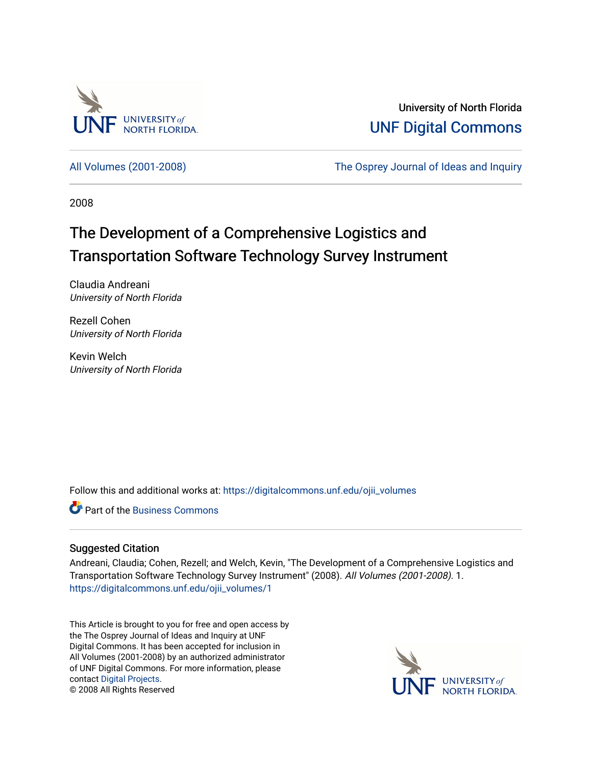

University of North Florida [UNF Digital Commons](https://digitalcommons.unf.edu/) 

[All Volumes \(2001-2008\)](https://digitalcommons.unf.edu/ojii_volumes) [The Osprey Journal of Ideas and Inquiry](https://digitalcommons.unf.edu/ojii) 

2008

# The Development of a Comprehensive Logistics and Transportation Software Technology Survey Instrument

Claudia Andreani University of North Florida

Rezell Cohen University of North Florida

Kevin Welch University of North Florida

Follow this and additional works at: [https://digitalcommons.unf.edu/ojii\\_volumes](https://digitalcommons.unf.edu/ojii_volumes?utm_source=digitalcommons.unf.edu%2Fojii_volumes%2F1&utm_medium=PDF&utm_campaign=PDFCoverPages) 

**C** Part of the [Business Commons](http://network.bepress.com/hgg/discipline/622?utm_source=digitalcommons.unf.edu%2Fojii_volumes%2F1&utm_medium=PDF&utm_campaign=PDFCoverPages)

## Suggested Citation

Andreani, Claudia; Cohen, Rezell; and Welch, Kevin, "The Development of a Comprehensive Logistics and Transportation Software Technology Survey Instrument" (2008). All Volumes (2001-2008). 1. [https://digitalcommons.unf.edu/ojii\\_volumes/1](https://digitalcommons.unf.edu/ojii_volumes/1?utm_source=digitalcommons.unf.edu%2Fojii_volumes%2F1&utm_medium=PDF&utm_campaign=PDFCoverPages) 

This Article is brought to you for free and open access by the The Osprey Journal of Ideas and Inquiry at UNF Digital Commons. It has been accepted for inclusion in All Volumes (2001-2008) by an authorized administrator of UNF Digital Commons. For more information, please contact [Digital Projects](mailto:lib-digital@unf.edu). © 2008 All Rights Reserved

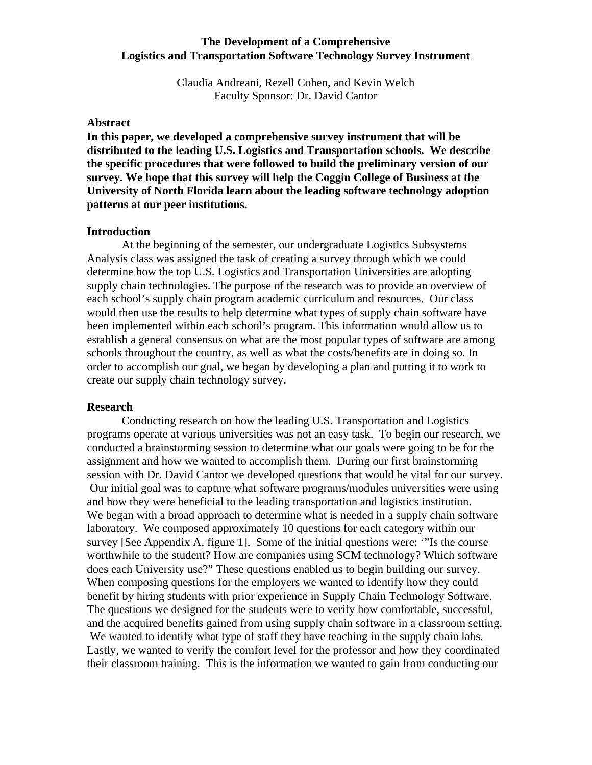#### **The Development of a Comprehensive Logistics and Transportation Software Technology Survey Instrument**

Claudia Andreani, Rezell Cohen, and Kevin Welch Faculty Sponsor: Dr. David Cantor

#### **Abstract**

**In this paper, we developed a comprehensive survey instrument that will be distributed to the leading U.S. Logistics and Transportation schools. We describe the specific procedures that were followed to build the preliminary version of our survey. We hope that this survey will help the Coggin College of Business at the University of North Florida learn about the leading software technology adoption patterns at our peer institutions.** 

#### **Introduction**

At the beginning of the semester, our undergraduate Logistics Subsystems Analysis class was assigned the task of creating a survey through which we could determine how the top U.S. Logistics and Transportation Universities are adopting supply chain technologies. The purpose of the research was to provide an overview of each school's supply chain program academic curriculum and resources. Our class would then use the results to help determine what types of supply chain software have been implemented within each school's program. This information would allow us to establish a general consensus on what are the most popular types of software are among schools throughout the country, as well as what the costs/benefits are in doing so. In order to accomplish our goal, we began by developing a plan and putting it to work to create our supply chain technology survey.

#### **Research**

Conducting research on how the leading U.S. Transportation and Logistics programs operate at various universities was not an easy task. To begin our research, we conducted a brainstorming session to determine what our goals were going to be for the assignment and how we wanted to accomplish them. During our first brainstorming session with Dr. David Cantor we developed questions that would be vital for our survey. Our initial goal was to capture what software programs/modules universities were using and how they were beneficial to the leading transportation and logistics institution. We began with a broad approach to determine what is needed in a supply chain software laboratory. We composed approximately 10 questions for each category within our survey [See Appendix A, figure 1]. Some of the initial questions were: '"Is the course worthwhile to the student? How are companies using SCM technology? Which software does each University use?" These questions enabled us to begin building our survey. When composing questions for the employers we wanted to identify how they could benefit by hiring students with prior experience in Supply Chain Technology Software. The questions we designed for the students were to verify how comfortable, successful, and the acquired benefits gained from using supply chain software in a classroom setting. We wanted to identify what type of staff they have teaching in the supply chain labs. Lastly, we wanted to verify the comfort level for the professor and how they coordinated their classroom training. This is the information we wanted to gain from conducting our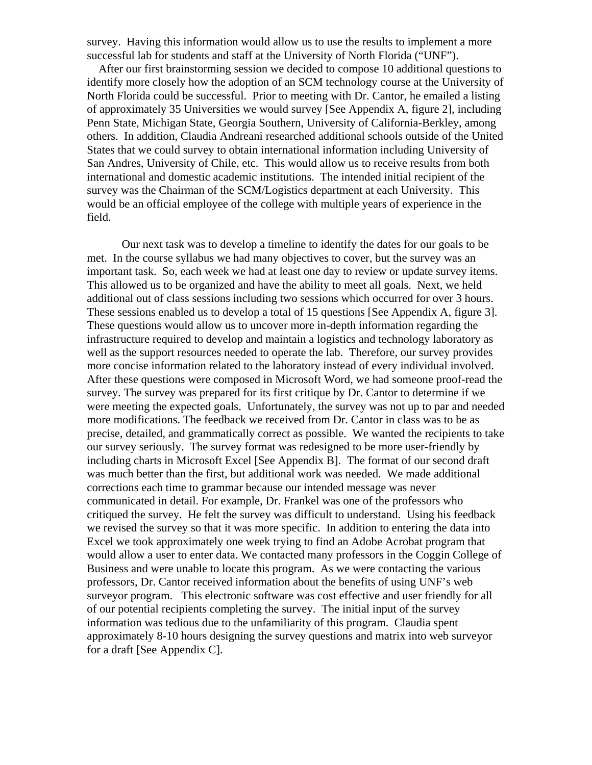survey. Having this information would allow us to use the results to implement a more successful lab for students and staff at the University of North Florida ("UNF").

 After our first brainstorming session we decided to compose 10 additional questions to identify more closely how the adoption of an SCM technology course at the University of North Florida could be successful. Prior to meeting with Dr. Cantor, he emailed a listing of approximately 35 Universities we would survey [See Appendix A, figure 2], including Penn State, Michigan State, Georgia Southern, University of California-Berkley, among others. In addition, Claudia Andreani researched additional schools outside of the United States that we could survey to obtain international information including University of San Andres, University of Chile, etc. This would allow us to receive results from both international and domestic academic institutions. The intended initial recipient of the survey was the Chairman of the SCM/Logistics department at each University. This would be an official employee of the college with multiple years of experience in the field.

Our next task was to develop a timeline to identify the dates for our goals to be met. In the course syllabus we had many objectives to cover, but the survey was an important task. So, each week we had at least one day to review or update survey items. This allowed us to be organized and have the ability to meet all goals. Next, we held additional out of class sessions including two sessions which occurred for over 3 hours. These sessions enabled us to develop a total of 15 questions [See Appendix A, figure 3]. These questions would allow us to uncover more in-depth information regarding the infrastructure required to develop and maintain a logistics and technology laboratory as well as the support resources needed to operate the lab. Therefore, our survey provides more concise information related to the laboratory instead of every individual involved. After these questions were composed in Microsoft Word, we had someone proof-read the survey. The survey was prepared for its first critique by Dr. Cantor to determine if we were meeting the expected goals. Unfortunately, the survey was not up to par and needed more modifications. The feedback we received from Dr. Cantor in class was to be as precise, detailed, and grammatically correct as possible. We wanted the recipients to take our survey seriously. The survey format was redesigned to be more user-friendly by including charts in Microsoft Excel [See Appendix B]. The format of our second draft was much better than the first, but additional work was needed. We made additional corrections each time to grammar because our intended message was never communicated in detail. For example, Dr. Frankel was one of the professors who critiqued the survey. He felt the survey was difficult to understand. Using his feedback we revised the survey so that it was more specific. In addition to entering the data into Excel we took approximately one week trying to find an Adobe Acrobat program that would allow a user to enter data. We contacted many professors in the Coggin College of Business and were unable to locate this program. As we were contacting the various professors, Dr. Cantor received information about the benefits of using UNF's web surveyor program. This electronic software was cost effective and user friendly for all of our potential recipients completing the survey. The initial input of the survey information was tedious due to the unfamiliarity of this program. Claudia spent approximately 8-10 hours designing the survey questions and matrix into web surveyor for a draft [See Appendix C].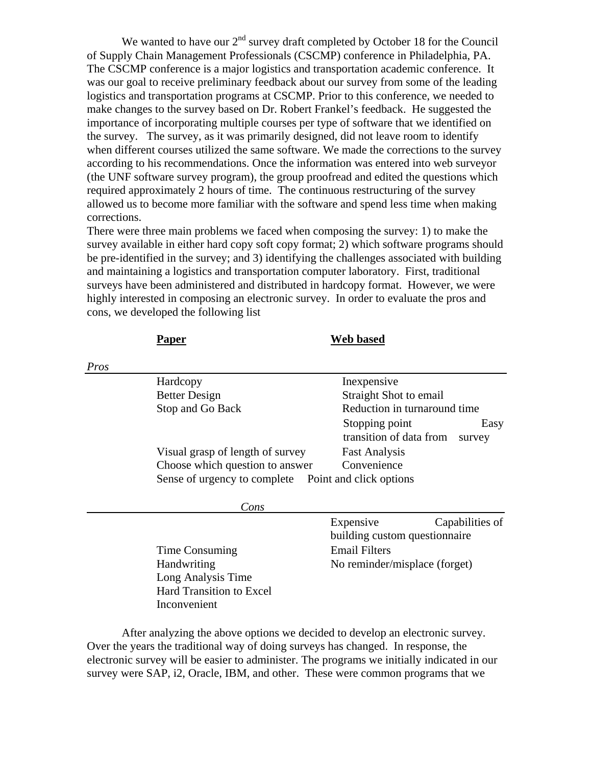We wanted to have our  $2<sup>nd</sup>$  survey draft completed by October 18 for the Council of Supply Chain Management Professionals (CSCMP) conference in Philadelphia, PA. The CSCMP conference is a major logistics and transportation academic conference. It was our goal to receive preliminary feedback about our survey from some of the leading logistics and transportation programs at CSCMP. Prior to this conference, we needed to make changes to the survey based on Dr. Robert Frankel's feedback. He suggested the importance of incorporating multiple courses per type of software that we identified on the survey. The survey, as it was primarily designed, did not leave room to identify when different courses utilized the same software. We made the corrections to the survey according to his recommendations. Once the information was entered into web surveyor (the UNF software survey program), the group proofread and edited the questions which required approximately 2 hours of time. The continuous restructuring of the survey allowed us to become more familiar with the software and spend less time when making corrections.

There were three main problems we faced when composing the survey: 1) to make the survey available in either hard copy soft copy format; 2) which software programs should be pre-identified in the survey; and 3) identifying the challenges associated with building and maintaining a logistics and transportation computer laboratory. First, traditional surveys have been administered and distributed in hardcopy format. However, we were highly interested in composing an electronic survey. In order to evaluate the pros and cons, we developed the following list

|      | Paper                                                | Web based                                                   |
|------|------------------------------------------------------|-------------------------------------------------------------|
| Pros |                                                      |                                                             |
|      | Hardcopy                                             | Inexpensive                                                 |
|      | <b>Better Design</b>                                 | Straight Shot to email                                      |
|      | Stop and Go Back                                     | Reduction in turnaround time                                |
|      |                                                      | Stopping point<br>Easy<br>transition of data from<br>survey |
|      | Visual grasp of length of survey                     | <b>Fast Analysis</b>                                        |
|      | Choose which question to answer                      | Convenience                                                 |
|      | Sense of urgency to complete Point and click options |                                                             |
|      | Cons                                                 |                                                             |
|      |                                                      | Expensive<br>Capabilities of                                |
|      |                                                      | building custom questionnaire                               |
|      | Time Consuming                                       | <b>Email Filters</b>                                        |
|      | Handwriting                                          | No reminder/misplace (forget)                               |
|      | Long Analysis Time                                   |                                                             |
|      | <b>Hard Transition to Excel</b>                      |                                                             |
|      | Inconvenient                                         |                                                             |
|      |                                                      |                                                             |

 After analyzing the above options we decided to develop an electronic survey. Over the years the traditional way of doing surveys has changed. In response, the electronic survey will be easier to administer. The programs we initially indicated in our survey were SAP, i2, Oracle, IBM, and other. These were common programs that we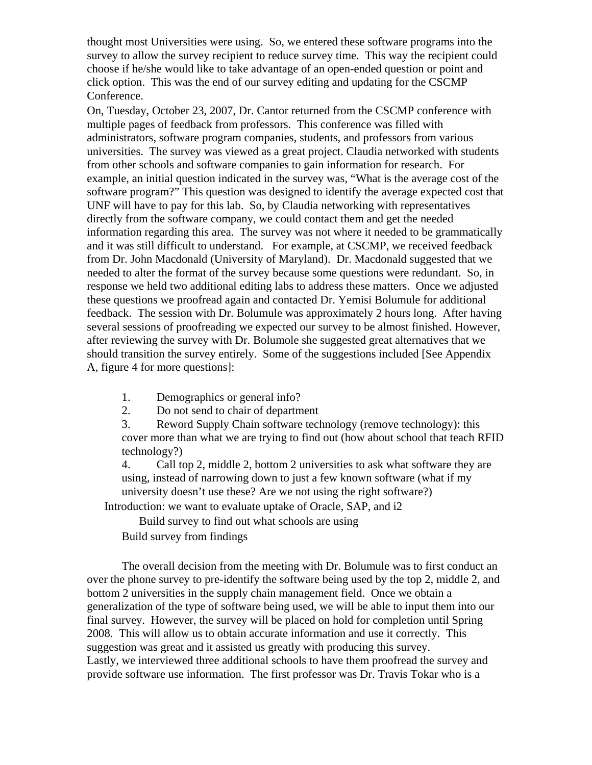thought most Universities were using. So, we entered these software programs into the survey to allow the survey recipient to reduce survey time. This way the recipient could choose if he/she would like to take advantage of an open-ended question or point and click option. This was the end of our survey editing and updating for the CSCMP Conference.

On, Tuesday, October 23, 2007, Dr. Cantor returned from the CSCMP conference with multiple pages of feedback from professors. This conference was filled with administrators, software program companies, students, and professors from various universities. The survey was viewed as a great project. Claudia networked with students from other schools and software companies to gain information for research. For example, an initial question indicated in the survey was, "What is the average cost of the software program?" This question was designed to identify the average expected cost that UNF will have to pay for this lab. So, by Claudia networking with representatives directly from the software company, we could contact them and get the needed information regarding this area. The survey was not where it needed to be grammatically and it was still difficult to understand. For example, at CSCMP, we received feedback from Dr. John Macdonald (University of Maryland). Dr. Macdonald suggested that we needed to alter the format of the survey because some questions were redundant. So, in response we held two additional editing labs to address these matters. Once we adjusted these questions we proofread again and contacted Dr. Yemisi Bolumule for additional feedback. The session with Dr. Bolumule was approximately 2 hours long. After having several sessions of proofreading we expected our survey to be almost finished. However, after reviewing the survey with Dr. Bolumole she suggested great alternatives that we should transition the survey entirely. Some of the suggestions included [See Appendix A, figure 4 for more questions]:

- 1. Demographics or general info?
- 2. Do not send to chair of department

3. Reword Supply Chain software technology (remove technology): this cover more than what we are trying to find out (how about school that teach RFID technology?)

4. Call top 2, middle 2, bottom 2 universities to ask what software they are using, instead of narrowing down to just a few known software (what if my university doesn't use these? Are we not using the right software?)

Introduction: we want to evaluate uptake of Oracle, SAP, and i2

Build survey to find out what schools are using

Build survey from findings

 The overall decision from the meeting with Dr. Bolumule was to first conduct an over the phone survey to pre-identify the software being used by the top 2, middle 2, and bottom 2 universities in the supply chain management field. Once we obtain a generalization of the type of software being used, we will be able to input them into our final survey. However, the survey will be placed on hold for completion until Spring 2008. This will allow us to obtain accurate information and use it correctly. This suggestion was great and it assisted us greatly with producing this survey. Lastly, we interviewed three additional schools to have them proofread the survey and provide software use information. The first professor was Dr. Travis Tokar who is a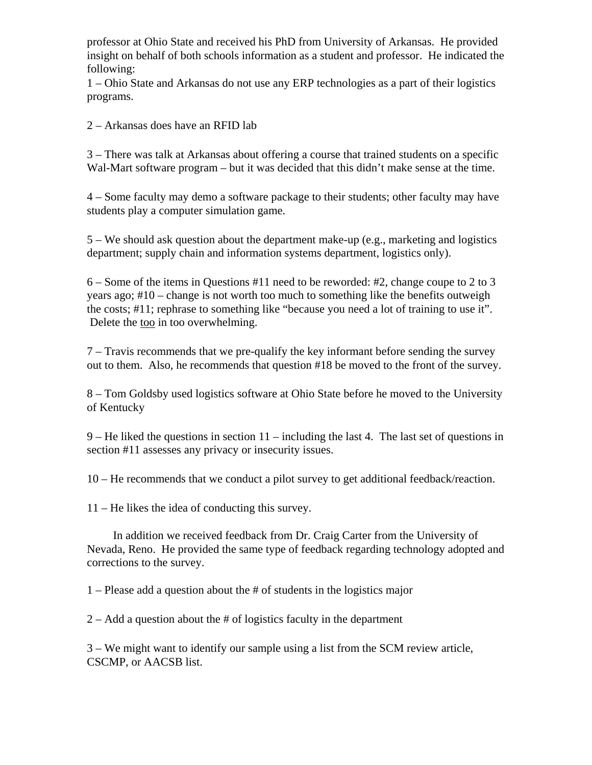professor at Ohio State and received his PhD from University of Arkansas. He provided insight on behalf of both schools information as a student and professor. He indicated the following:

1 – Ohio State and Arkansas do not use any ERP technologies as a part of their logistics programs.

2 – Arkansas does have an RFID lab

3 – There was talk at Arkansas about offering a course that trained students on a specific Wal-Mart software program – but it was decided that this didn't make sense at the time.

4 – Some faculty may demo a software package to their students; other faculty may have students play a computer simulation game.

5 – We should ask question about the department make-up (e.g., marketing and logistics department; supply chain and information systems department, logistics only).

6 – Some of the items in Questions #11 need to be reworded: #2, change coupe to 2 to 3 years ago; #10 – change is not worth too much to something like the benefits outweigh the costs; #11; rephrase to something like "because you need a lot of training to use it". Delete the too in too overwhelming.

7 – Travis recommends that we pre-qualify the key informant before sending the survey out to them. Also, he recommends that question #18 be moved to the front of the survey.

8 – Tom Goldsby used logistics software at Ohio State before he moved to the University of Kentucky

9 – He liked the questions in section 11 – including the last 4. The last set of questions in section #11 assesses any privacy or insecurity issues.

10 – He recommends that we conduct a pilot survey to get additional feedback/reaction.

11 – He likes the idea of conducting this survey.

 In addition we received feedback from Dr. Craig Carter from the University of Nevada, Reno. He provided the same type of feedback regarding technology adopted and corrections to the survey.

1 – Please add a question about the # of students in the logistics major

2 – Add a question about the # of logistics faculty in the department

3 – We might want to identify our sample using a list from the SCM review article, CSCMP, or AACSB list.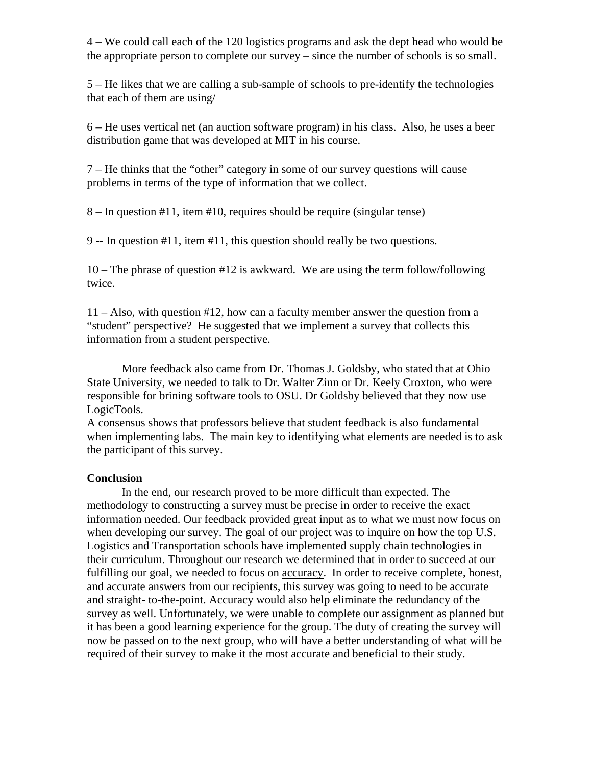4 – We could call each of the 120 logistics programs and ask the dept head who would be the appropriate person to complete our survey – since the number of schools is so small.

5 – He likes that we are calling a sub-sample of schools to pre-identify the technologies that each of them are using/

6 – He uses vertical net (an auction software program) in his class. Also, he uses a beer distribution game that was developed at MIT in his course.

7 – He thinks that the "other" category in some of our survey questions will cause problems in terms of the type of information that we collect.

8 – In question #11, item #10, requires should be require (singular tense)

9 -- In question #11, item #11, this question should really be two questions.

10 – The phrase of question #12 is awkward. We are using the term follow/following twice.

11 – Also, with question #12, how can a faculty member answer the question from a "student" perspective? He suggested that we implement a survey that collects this information from a student perspective.

 More feedback also came from Dr. Thomas J. Goldsby, who stated that at Ohio State University, we needed to talk to Dr. Walter Zinn or Dr. Keely Croxton, who were responsible for brining software tools to OSU. Dr Goldsby believed that they now use LogicTools.

A consensus shows that professors believe that student feedback is also fundamental when implementing labs. The main key to identifying what elements are needed is to ask the participant of this survey.

## **Conclusion**

 In the end, our research proved to be more difficult than expected. The methodology to constructing a survey must be precise in order to receive the exact information needed. Our feedback provided great input as to what we must now focus on when developing our survey. The goal of our project was to inquire on how the top U.S. Logistics and Transportation schools have implemented supply chain technologies in their curriculum. Throughout our research we determined that in order to succeed at our fulfilling our goal, we needed to focus on accuracy. In order to receive complete, honest, and accurate answers from our recipients, this survey was going to need to be accurate and straight- to-the-point. Accuracy would also help eliminate the redundancy of the survey as well. Unfortunately, we were unable to complete our assignment as planned but it has been a good learning experience for the group. The duty of creating the survey will now be passed on to the next group, who will have a better understanding of what will be required of their survey to make it the most accurate and beneficial to their study.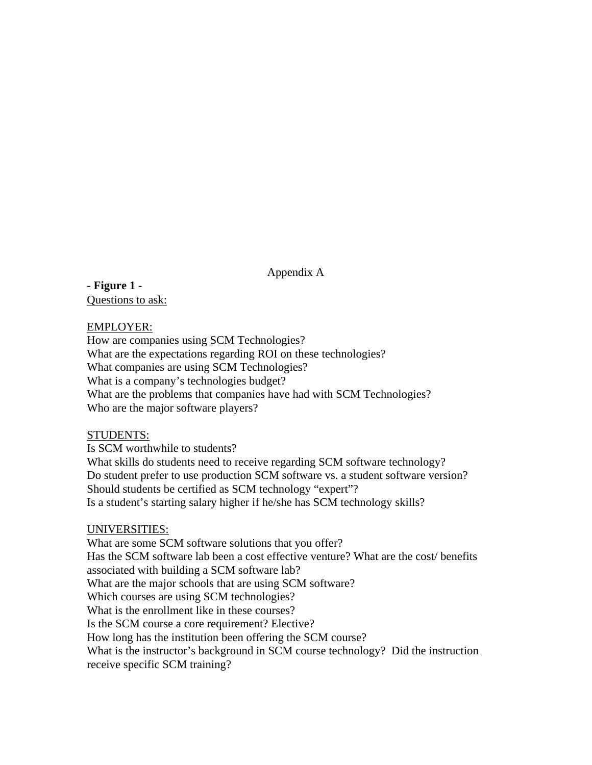Appendix A

**- Figure 1 -** Questions to ask:

## EMPLOYER:

How are companies using SCM Technologies? What are the expectations regarding ROI on these technologies? What companies are using SCM Technologies? What is a company's technologies budget? What are the problems that companies have had with SCM Technologies? Who are the major software players?

## STUDENTS:

Is SCM worthwhile to students? What skills do students need to receive regarding SCM software technology? Do student prefer to use production SCM software vs. a student software version? Should students be certified as SCM technology "expert"? Is a student's starting salary higher if he/she has SCM technology skills?

# UNIVERSITIES:

What are some SCM software solutions that you offer? Has the SCM software lab been a cost effective venture? What are the cost/ benefits associated with building a SCM software lab? What are the major schools that are using SCM software? Which courses are using SCM technologies? What is the enrollment like in these courses? Is the SCM course a core requirement? Elective? How long has the institution been offering the SCM course? What is the instructor's background in SCM course technology? Did the instruction receive specific SCM training?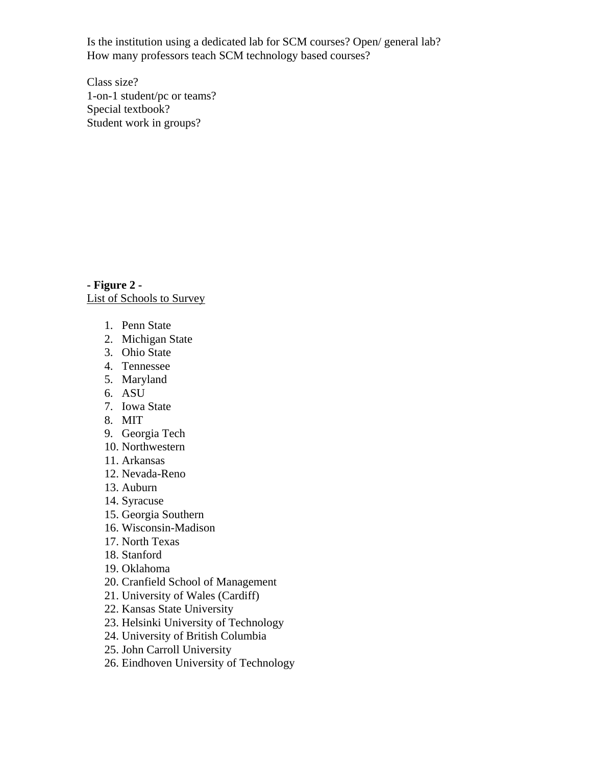Is the institution using a dedicated lab for SCM courses? Open/ general lab? How many professors teach SCM technology based courses?

Class size? 1-on-1 student/pc or teams? Special textbook? Student work in groups?

**- Figure 2 -** List of Schools to Survey

- 1. Penn State
- 2. Michigan State
- 3. Ohio State
- 4. Tennessee
- 5. Maryland
- 6. ASU
- 7. Iowa State
- 8. MIT
- 9. Georgia Tech
- 10. Northwestern
- 11. Arkansas
- 12. Nevada-Reno
- 13. Auburn
- 14. Syracuse
- 15. Georgia Southern
- 16. Wisconsin-Madison
- 17. North Texas
- 18. Stanford
- 19. Oklahoma
- 20. Cranfield School of Management
- 21. University of Wales (Cardiff)
- 22. Kansas State University
- 23. Helsinki University of Technology
- 24. University of British Columbia
- 25. John Carroll University
- 26. Eindhoven University of Technology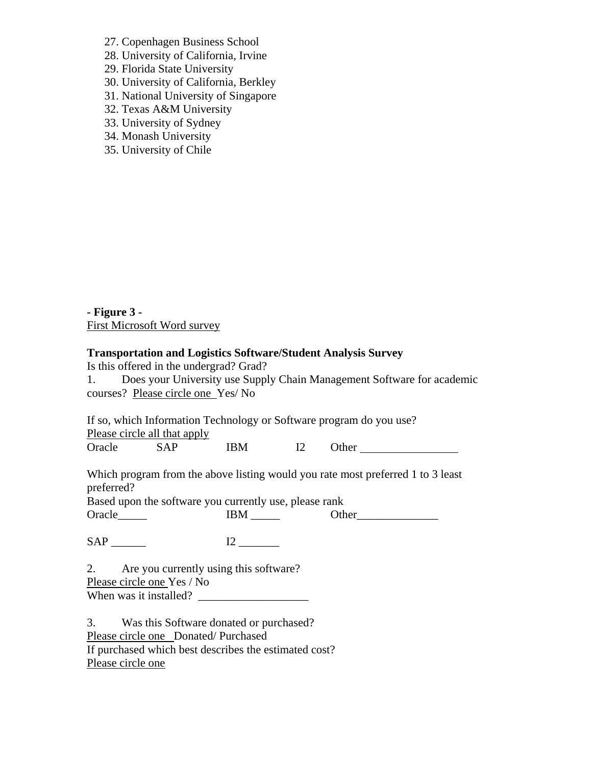27. Copenhagen Business School

28. University of California, Irvine

29. Florida State University

30. University of California, Berkley

31. National University of Singapore

- 32. Texas A&M University
- 33. University of Sydney
- 34. Monash University
- 35. University of Chile

**- Figure 3 -**  First Microsoft Word survey

## **Transportation and Logistics Software/Student Analysis Survey**

Is this offered in the undergrad? Grad?

1. Does your University use Supply Chain Management Software for academic courses? Please circle one Yes/ No

If so, which Information Technology or Software program do you use?

Please circle all that apply

Oracle SAP IBM I2 Other

Which program from the above listing would you rate most preferred 1 to 3 least preferred?

Based upon the software you currently use, please rank

Oracle\_\_\_\_\_ IBM \_\_\_\_\_ Other\_\_\_\_\_\_\_\_\_\_\_\_\_\_

SAP \_\_\_\_\_\_ I2 \_\_\_\_\_\_\_

2. Are you currently using this software? Please circle one Yes / No When was it installed?

3. Was this Software donated or purchased? Please circle one Donated/ Purchased If purchased which best describes the estimated cost? Please circle one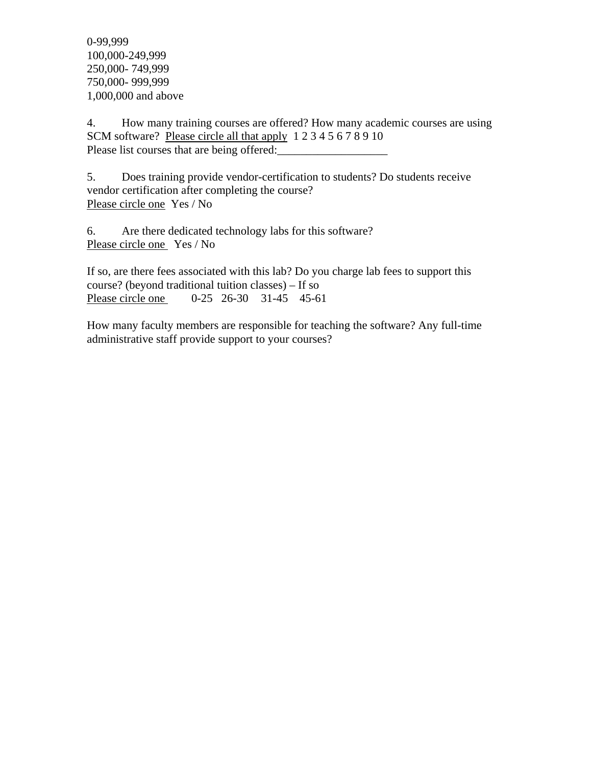0-99,999 100,000-249,999 250,000- 749,999 750,000- 999,999 1,000,000 and above

4. How many training courses are offered? How many academic courses are using SCM software? Please circle all that apply 1 2 3 4 5 6 7 8 9 10 Please list courses that are being offered:

5. Does training provide vendor-certification to students? Do students receive vendor certification after completing the course? Please circle one Yes / No

6. Are there dedicated technology labs for this software? Please circle one Yes / No

If so, are there fees associated with this lab? Do you charge lab fees to support this course? (beyond traditional tuition classes) – If so Please circle one 0-25 26-30 31-45 45-61

How many faculty members are responsible for teaching the software? Any full-time administrative staff provide support to your courses?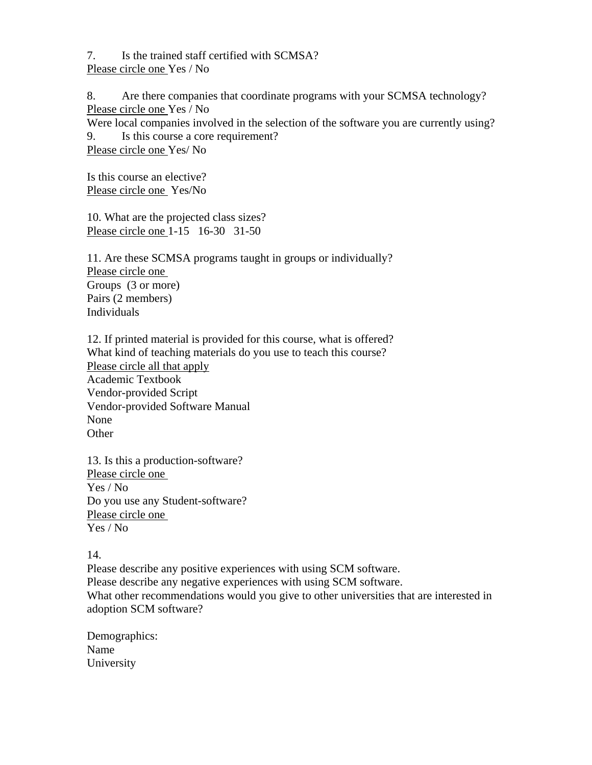7. Is the trained staff certified with SCMSA? Please circle one Yes / No

8. Are there companies that coordinate programs with your SCMSA technology? Please circle one Yes / No Were local companies involved in the selection of the software you are currently using? 9. Is this course a core requirement? Please circle one Yes/ No

Is this course an elective? Please circle one Yes/No

10. What are the projected class sizes? Please circle one 1-15 16-30 31-50

11. Are these SCMSA programs taught in groups or individually? Please circle one Groups (3 or more) Pairs (2 members) Individuals

12. If printed material is provided for this course, what is offered? What kind of teaching materials do you use to teach this course? Please circle all that apply Academic Textbook Vendor-provided Script Vendor-provided Software Manual None **Other** 

13. Is this a production-software? Please circle one Yes / No Do you use any Student-software? Please circle one Yes / No

14.

Please describe any positive experiences with using SCM software. Please describe any negative experiences with using SCM software. What other recommendations would you give to other universities that are interested in adoption SCM software?

Demographics: Name University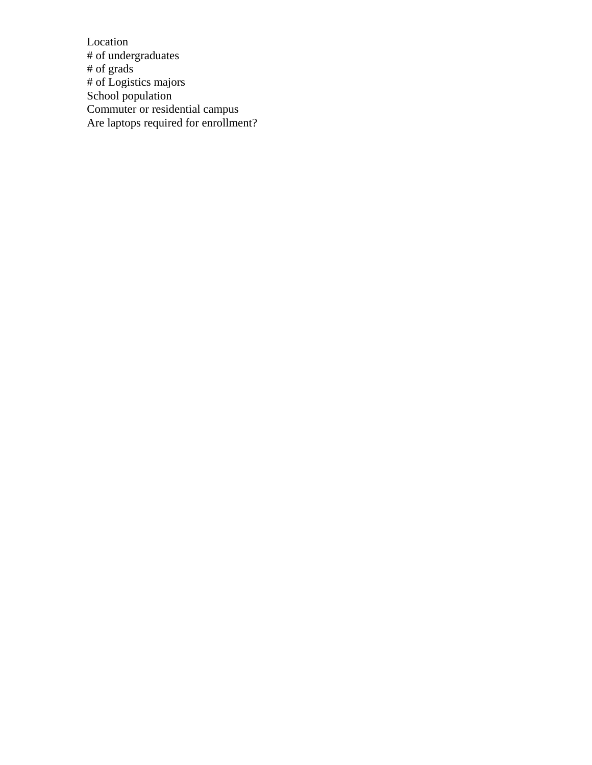Location # of undergraduates # of grads # of Logistics majors School population Commuter or residential campus Are laptops required for enrollment?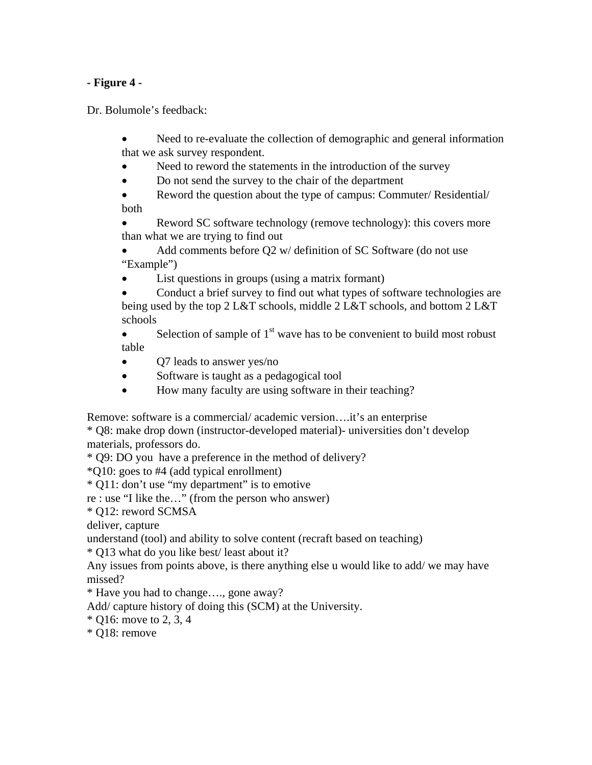# **- Figure 4 -**

Dr. Bolumole's feedback:

- Need to re-evaluate the collection of demographic and general information that we ask survey respondent.
- Need to reword the statements in the introduction of the survey
- Do not send the survey to the chair of the department
- Reword the question about the type of campus: Commuter/ Residential/ both

• Reword SC software technology (remove technology): this covers more than what we are trying to find out

- Add comments before Q2 w/ definition of SC Software (do not use "Example")
- List questions in groups (using a matrix formant)
- Conduct a brief survey to find out what types of software technologies are being used by the top 2 L&T schools, middle 2 L&T schools, and bottom 2 L&T schools
- Selection of sample of  $1<sup>st</sup>$  wave has to be convenient to build most robust table
- Q7 leads to answer yes/no
- Software is taught as a pedagogical tool
- How many faculty are using software in their teaching?

Remove: software is a commercial/ academic version….it's an enterprise

\* Q8: make drop down (instructor-developed material)- universities don't develop materials, professors do.

\* Q9: DO you have a preference in the method of delivery?

\*Q10: goes to #4 (add typical enrollment)

\* Q11: don't use "my department" is to emotive

re : use "I like the…" (from the person who answer)

\* Q12: reword SCMSA

deliver, capture

understand (tool) and ability to solve content (recraft based on teaching)

\* Q13 what do you like best/ least about it?

Any issues from points above, is there anything else u would like to add/ we may have missed?

\* Have you had to change…., gone away?

Add/ capture history of doing this (SCM) at the University.

\* Q16: move to 2, 3, 4

\* Q18: remove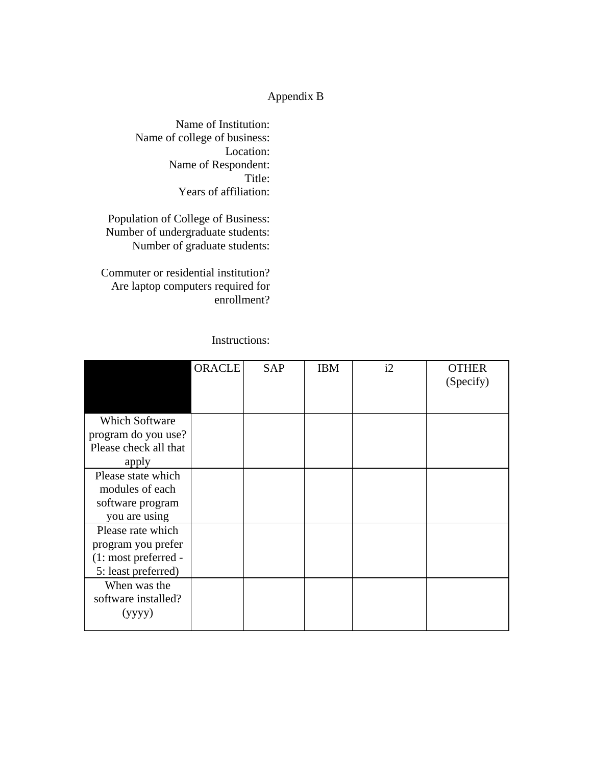# Appendix B

Name of Institution: Name of college of business: Location: Name of Respondent: Title: Years of affiliation:

Population of College of Business: Number of undergraduate students: Number of graduate students:

Commuter or residential institution? Are laptop computers required for enrollment?

Instructions:

|                       | <b>ORACLE</b> | <b>SAP</b> | <b>IBM</b> | i2 | <b>OTHER</b><br>(Specify) |
|-----------------------|---------------|------------|------------|----|---------------------------|
|                       |               |            |            |    |                           |
| <b>Which Software</b> |               |            |            |    |                           |
| program do you use?   |               |            |            |    |                           |
| Please check all that |               |            |            |    |                           |
| apply                 |               |            |            |    |                           |
| Please state which    |               |            |            |    |                           |
| modules of each       |               |            |            |    |                           |
| software program      |               |            |            |    |                           |
| you are using         |               |            |            |    |                           |
| Please rate which     |               |            |            |    |                           |
| program you prefer    |               |            |            |    |                           |
| (1: most preferred -  |               |            |            |    |                           |
| 5: least preferred)   |               |            |            |    |                           |
| When was the          |               |            |            |    |                           |
| software installed?   |               |            |            |    |                           |
| (yyyy)                |               |            |            |    |                           |
|                       |               |            |            |    |                           |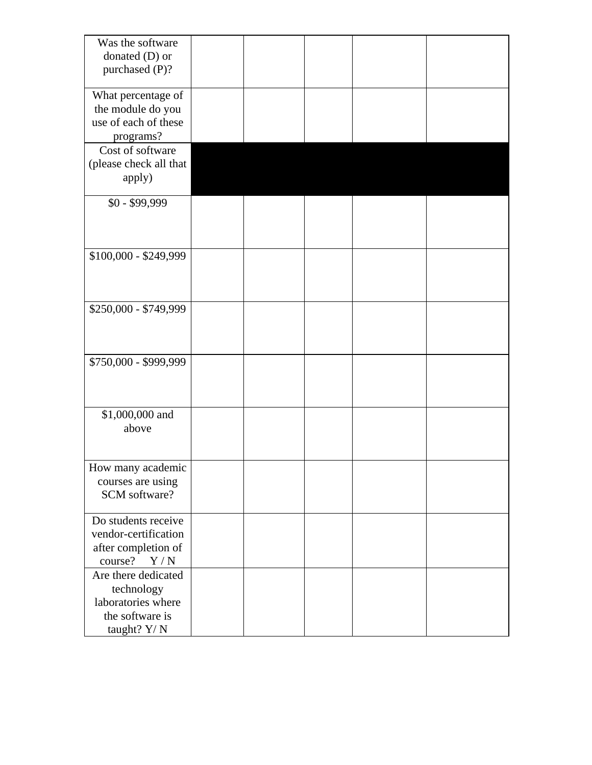| Was the software<br>donated $(D)$ or<br>purchased (P)?                       |  |  |
|------------------------------------------------------------------------------|--|--|
|                                                                              |  |  |
| What percentage of<br>the module do you<br>use of each of these<br>programs? |  |  |
| Cost of software                                                             |  |  |
| (please check all that<br>apply)                                             |  |  |
| $$0 - $99,999$                                                               |  |  |
|                                                                              |  |  |
| \$100,000 - \$249,999                                                        |  |  |
|                                                                              |  |  |
|                                                                              |  |  |
| \$250,000 - \$749,999                                                        |  |  |
|                                                                              |  |  |
|                                                                              |  |  |
| \$750,000 - \$999,999                                                        |  |  |
|                                                                              |  |  |
|                                                                              |  |  |
| \$1,000,000 and                                                              |  |  |
| above                                                                        |  |  |
|                                                                              |  |  |
| How many academic                                                            |  |  |
| courses are using<br>SCM software?                                           |  |  |
|                                                                              |  |  |
| Do students receive                                                          |  |  |
| vendor-certification                                                         |  |  |
| after completion of<br>course?<br>Y/N                                        |  |  |
| Are there dedicated                                                          |  |  |
| technology                                                                   |  |  |
| laboratories where                                                           |  |  |
| the software is<br>taught? Y/N                                               |  |  |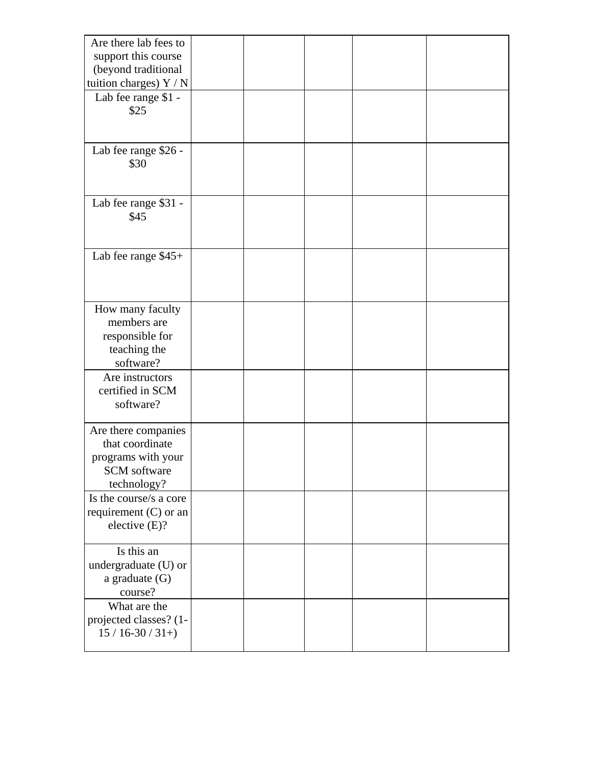| Are there lab fees to<br>support this course<br>(beyond traditional<br>tuition charges) Y / N |  |  |  |
|-----------------------------------------------------------------------------------------------|--|--|--|
| Lab fee range \$1 -<br>\$25                                                                   |  |  |  |
| Lab fee range \$26 -<br>\$30                                                                  |  |  |  |
| Lab fee range \$31 -<br>\$45                                                                  |  |  |  |
| Lab fee range \$45+                                                                           |  |  |  |
| How many faculty<br>members are<br>responsible for<br>teaching the<br>software?               |  |  |  |
| Are instructors<br>certified in SCM<br>software?                                              |  |  |  |
| Are there companies<br>that coordinate<br>programs with your<br>SCM software<br>technology?   |  |  |  |
| Is the course/s a core<br>requirement $(C)$ or an<br>elective (E)?                            |  |  |  |
| Is this an<br>undergraduate (U) or<br>a graduate $(G)$<br>course?                             |  |  |  |
| What are the<br>projected classes? (1-<br>$15/16-30/31+)$                                     |  |  |  |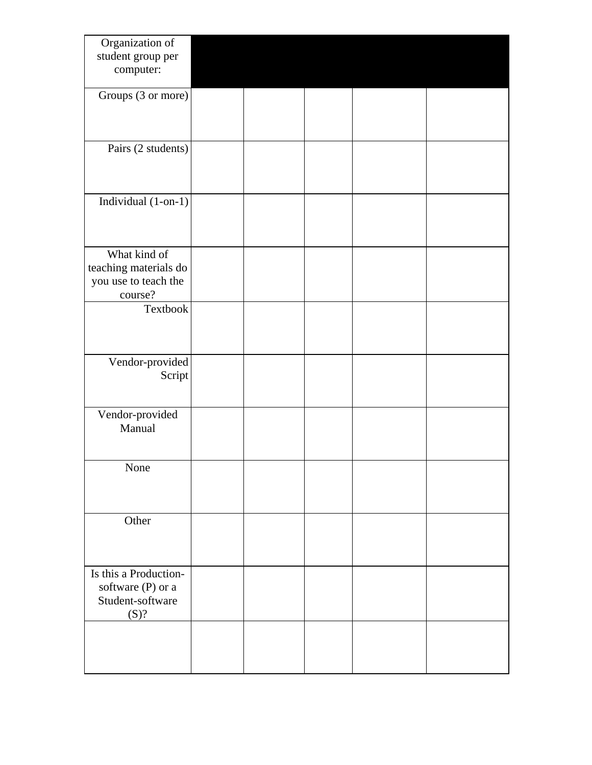| Organization of<br>student group per          |  |  |  |
|-----------------------------------------------|--|--|--|
| computer:                                     |  |  |  |
| Groups (3 or more)                            |  |  |  |
|                                               |  |  |  |
| Pairs (2 students)                            |  |  |  |
|                                               |  |  |  |
|                                               |  |  |  |
| Individual (1-on-1)                           |  |  |  |
|                                               |  |  |  |
| What kind of                                  |  |  |  |
| teaching materials do<br>you use to teach the |  |  |  |
| course?<br>Textbook                           |  |  |  |
|                                               |  |  |  |
|                                               |  |  |  |
| Vendor-provided<br>Script                     |  |  |  |
|                                               |  |  |  |
| Vendor-provided                               |  |  |  |
| Manual                                        |  |  |  |
| None                                          |  |  |  |
|                                               |  |  |  |
|                                               |  |  |  |
| Other                                         |  |  |  |
|                                               |  |  |  |
| Is this a Production-<br>software (P) or a    |  |  |  |
| Student-software                              |  |  |  |
| (S)?                                          |  |  |  |
|                                               |  |  |  |
|                                               |  |  |  |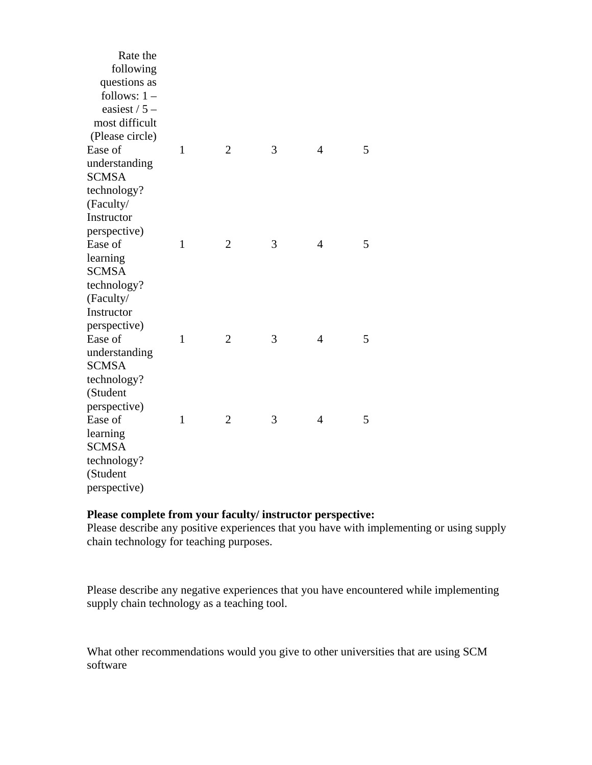| Rate the<br>following<br>questions as<br>follows: $1 -$<br>easiest $/ 5 -$<br>most difficult |              |                |   |                |   |
|----------------------------------------------------------------------------------------------|--------------|----------------|---|----------------|---|
| (Please circle)                                                                              |              |                |   |                |   |
| Ease of                                                                                      | $\mathbf{1}$ | $\overline{2}$ | 3 | $\overline{4}$ | 5 |
| understanding                                                                                |              |                |   |                |   |
| <b>SCMSA</b>                                                                                 |              |                |   |                |   |
| technology?                                                                                  |              |                |   |                |   |
| (Faculty/                                                                                    |              |                |   |                |   |
| Instructor                                                                                   |              |                |   |                |   |
| perspective)                                                                                 |              |                |   |                |   |
| Ease of                                                                                      | $\mathbf{1}$ | $\overline{2}$ | 3 | $\overline{4}$ | 5 |
| learning                                                                                     |              |                |   |                |   |
| <b>SCMSA</b>                                                                                 |              |                |   |                |   |
| technology?                                                                                  |              |                |   |                |   |
| (Faculty/                                                                                    |              |                |   |                |   |
| Instructor                                                                                   |              |                |   |                |   |
| perspective)                                                                                 |              |                |   |                |   |
| Ease of                                                                                      | $\mathbf{1}$ | $\overline{2}$ | 3 | $\overline{4}$ | 5 |
| understanding                                                                                |              |                |   |                |   |
| <b>SCMSA</b>                                                                                 |              |                |   |                |   |
| technology?                                                                                  |              |                |   |                |   |
| (Student                                                                                     |              |                |   |                |   |
| perspective)                                                                                 |              |                |   |                |   |
| Ease of                                                                                      | $\mathbf{1}$ | $\overline{2}$ | 3 | $\overline{4}$ | 5 |
| learning                                                                                     |              |                |   |                |   |
| <b>SCMSA</b>                                                                                 |              |                |   |                |   |
| technology?                                                                                  |              |                |   |                |   |
| (Student                                                                                     |              |                |   |                |   |
| perspective)                                                                                 |              |                |   |                |   |

## **Please complete from your faculty/ instructor perspective:**

Please describe any positive experiences that you have with implementing or using supply chain technology for teaching purposes.

Please describe any negative experiences that you have encountered while implementing supply chain technology as a teaching tool.

What other recommendations would you give to other universities that are using SCM software